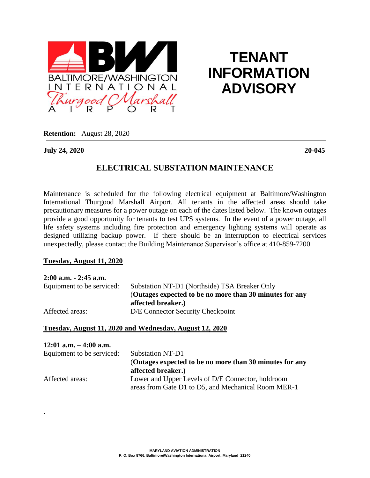

# **TENANT INFORMATION ADVISORY**

**Retention:** August 28, 2020

**July 24, 2020 20-045**

# **ELECTRICAL SUBSTATION MAINTENANCE**

Maintenance is scheduled for the following electrical equipment at Baltimore/Washington International Thurgood Marshall Airport. All tenants in the affected areas should take precautionary measures for a power outage on each of the dates listed below. The known outages provide a good opportunity for tenants to test UPS systems. In the event of a power outage, all life safety systems including fire protection and emergency lighting systems will operate as designed utilizing backup power. If there should be an interruption to electrical services unexpectedly, please contact the Building Maintenance Supervisor's office at 410-859-7200.

#### **Tuesday, August 11, 2020**

.

| $2:00$ a.m. $-2:45$ a.m.  |                                                         |
|---------------------------|---------------------------------------------------------|
| Equipment to be serviced: | Substation NT-D1 (Northside) TSA Breaker Only           |
|                           | (Outages expected to be no more than 30 minutes for any |
|                           | affected breaker.)                                      |
| Affected areas:           | D/E Connector Security Checkpoint                       |

### **Tuesday, August 11, 2020 and Wednesday, August 12, 2020**

| $12:01$ a.m. $-4:00$ a.m. |                                                         |
|---------------------------|---------------------------------------------------------|
| Equipment to be serviced: | <b>Substation NT-D1</b>                                 |
|                           | (Outages expected to be no more than 30 minutes for any |
|                           | affected breaker.)                                      |
| Affected areas:           | Lower and Upper Levels of D/E Connector, holdroom       |
|                           | areas from Gate D1 to D5, and Mechanical Room MER-1     |